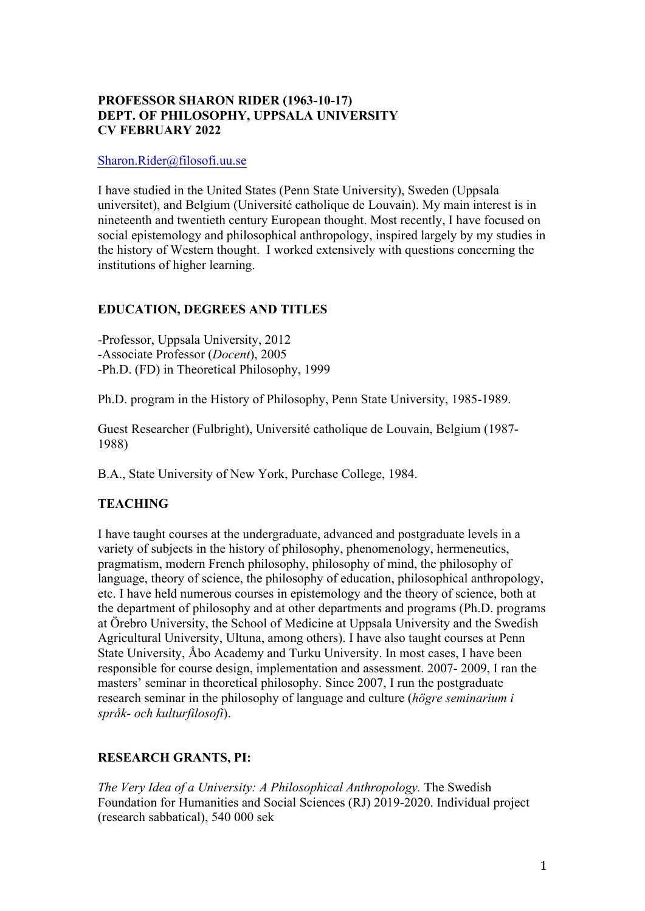# **PROFESSOR SHARON RIDER (1963-10-17) DEPT. OF PHILOSOPHY, UPPSALA UNIVERSITY CV FEBRUARY 2022**

### Sharon.Rider@filosofi.uu.se

I have studied in the United States (Penn State University), Sweden (Uppsala universitet), and Belgium (Université catholique de Louvain). My main interest is in nineteenth and twentieth century European thought. Most recently, I have focused on social epistemology and philosophical anthropology, inspired largely by my studies in the history of Western thought. I worked extensively with questions concerning the institutions of higher learning.

# **EDUCATION, DEGREES AND TITLES**

-Professor, Uppsala University, 2012 -Associate Professor (*Docent*), 2005 -Ph.D. (FD) in Theoretical Philosophy, 1999

Ph.D. program in the History of Philosophy, Penn State University, 1985-1989.

Guest Researcher (Fulbright), Université catholique de Louvain, Belgium (1987- 1988)

B.A., State University of New York, Purchase College, 1984.

# **TEACHING**

I have taught courses at the undergraduate, advanced and postgraduate levels in a variety of subjects in the history of philosophy, phenomenology, hermeneutics, pragmatism, modern French philosophy, philosophy of mind, the philosophy of language, theory of science, the philosophy of education, philosophical anthropology, etc. I have held numerous courses in epistemology and the theory of science, both at the department of philosophy and at other departments and programs (Ph.D. programs at Örebro University, the School of Medicine at Uppsala University and the Swedish Agricultural University, Ultuna, among others). I have also taught courses at Penn State University, Åbo Academy and Turku University. In most cases, I have been responsible for course design, implementation and assessment. 2007- 2009, I ran the masters' seminar in theoretical philosophy. Since 2007, I run the postgraduate research seminar in the philosophy of language and culture (*högre seminarium i språk- och kulturfilosofi*).

# **RESEARCH GRANTS, PI:**

*The Very Idea of a University: A Philosophical Anthropology.* The Swedish Foundation for Humanities and Social Sciences (RJ) 2019-2020. Individual project (research sabbatical), 540 000 sek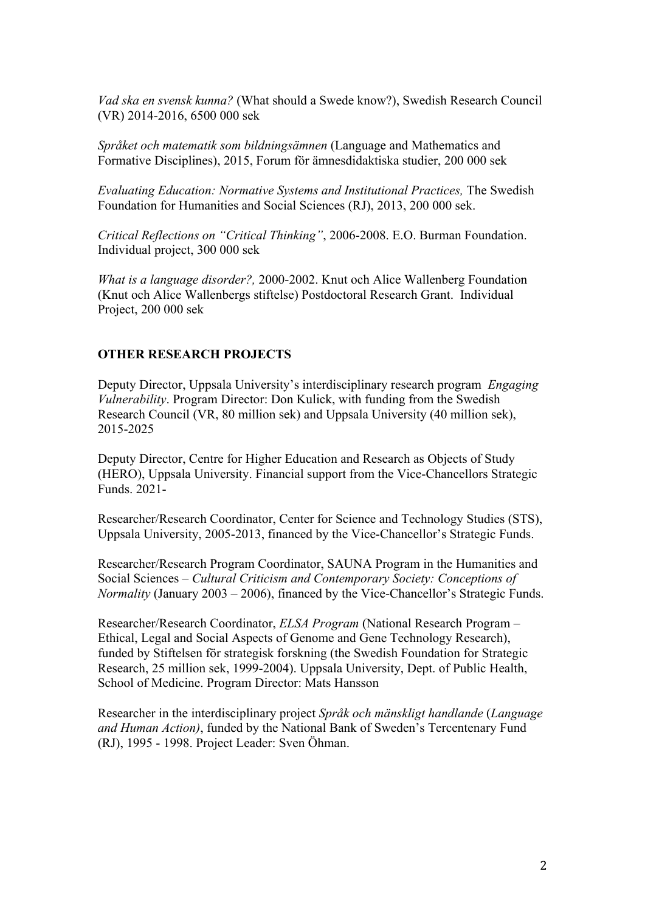*Vad ska en svensk kunna?* (What should a Swede know?), Swedish Research Council (VR) 2014-2016, 6500 000 sek

*Språket och matematik som bildningsämnen* (Language and Mathematics and Formative Disciplines), 2015, Forum för ämnesdidaktiska studier, 200 000 sek

*Evaluating Education: Normative Systems and Institutional Practices,* The Swedish Foundation for Humanities and Social Sciences (RJ), 2013, 200 000 sek.

*Critical Reflections on "Critical Thinking"*, 2006-2008. E.O. Burman Foundation. Individual project, 300 000 sek

*What is a language disorder?,* 2000-2002. Knut och Alice Wallenberg Foundation (Knut och Alice Wallenbergs stiftelse) Postdoctoral Research Grant. Individual Project, 200 000 sek

#### **OTHER RESEARCH PROJECTS**

Deputy Director, Uppsala University's interdisciplinary research program *Engaging Vulnerability*. Program Director: Don Kulick, with funding from the Swedish Research Council (VR, 80 million sek) and Uppsala University (40 million sek), 2015-2025

Deputy Director, Centre for Higher Education and Research as Objects of Study (HERO), Uppsala University. Financial support from the Vice-Chancellors Strategic Funds. 2021-

Researcher/Research Coordinator, Center for Science and Technology Studies (STS), Uppsala University, 2005-2013, financed by the Vice-Chancellor's Strategic Funds.

Researcher/Research Program Coordinator, SAUNA Program in the Humanities and Social Sciences – *Cultural Criticism and Contemporary Society: Conceptions of Normality* (January 2003 – 2006), financed by the Vice-Chancellor's Strategic Funds.

Researcher/Research Coordinator, *ELSA Program* (National Research Program – Ethical, Legal and Social Aspects of Genome and Gene Technology Research), funded by Stiftelsen för strategisk forskning (the Swedish Foundation for Strategic Research, 25 million sek, 1999-2004). Uppsala University, Dept. of Public Health, School of Medicine. Program Director: Mats Hansson

Researcher in the interdisciplinary project *Språk och mänskligt handlande* (*Language and Human Action)*, funded by the National Bank of Sweden's Tercentenary Fund (RJ), 1995 - 1998. Project Leader: Sven Öhman.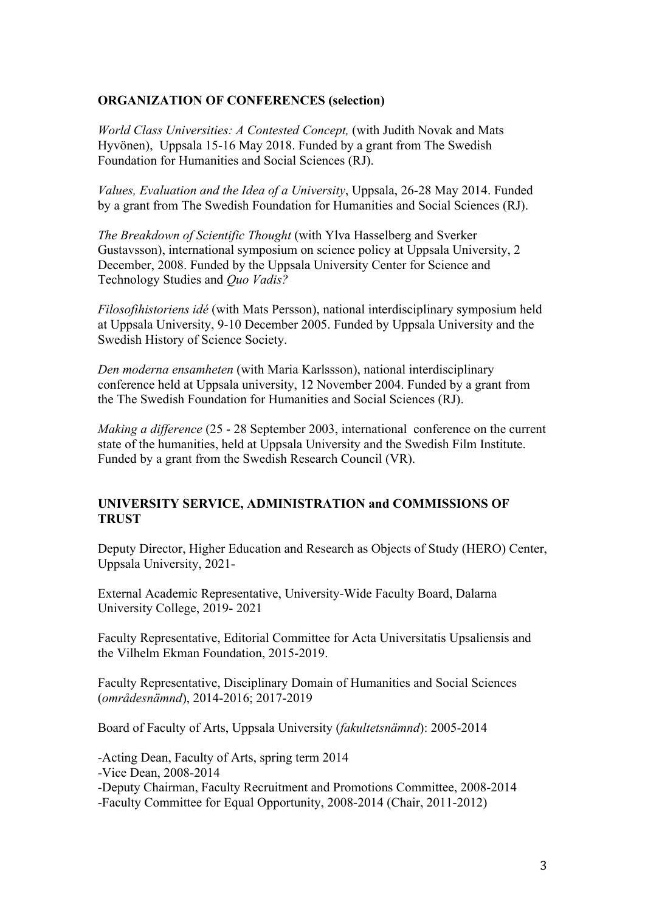### **ORGANIZATION OF CONFERENCES (selection)**

*World Class Universities: A Contested Concept,* (with Judith Novak and Mats Hyvönen), Uppsala 15-16 May 2018. Funded by a grant from The Swedish Foundation for Humanities and Social Sciences (RJ).

*Values, Evaluation and the Idea of a University*, Uppsala, 26-28 May 2014. Funded by a grant from The Swedish Foundation for Humanities and Social Sciences (RJ).

*The Breakdown of Scientific Thought* (with Ylva Hasselberg and Sverker Gustavsson), international symposium on science policy at Uppsala University, 2 December, 2008. Funded by the Uppsala University Center for Science and Technology Studies and *Quo Vadis?*

*Filosofihistoriens idé* (with Mats Persson), national interdisciplinary symposium held at Uppsala University, 9-10 December 2005. Funded by Uppsala University and the Swedish History of Science Society.

*Den moderna ensamheten* (with Maria Karlssson), national interdisciplinary conference held at Uppsala university, 12 November 2004. Funded by a grant from the The Swedish Foundation for Humanities and Social Sciences (RJ).

*Making a difference* (25 - 28 September 2003, international conference on the current state of the humanities, held at Uppsala University and the Swedish Film Institute. Funded by a grant from the Swedish Research Council (VR).

## **UNIVERSITY SERVICE, ADMINISTRATION and COMMISSIONS OF TRUST**

Deputy Director, Higher Education and Research as Objects of Study (HERO) Center, Uppsala University, 2021-

External Academic Representative, University-Wide Faculty Board, Dalarna University College, 2019- 2021

Faculty Representative, Editorial Committee for Acta Universitatis Upsaliensis and the Vilhelm Ekman Foundation, 2015-2019.

Faculty Representative, Disciplinary Domain of Humanities and Social Sciences (*områdesnämnd*), 2014-2016; 2017-2019

Board of Faculty of Arts, Uppsala University (*fakultetsnämnd*): 2005-2014

-Acting Dean, Faculty of Arts, spring term 2014

-Vice Dean, 2008-2014

-Deputy Chairman, Faculty Recruitment and Promotions Committee, 2008-2014 -Faculty Committee for Equal Opportunity, 2008-2014 (Chair, 2011-2012)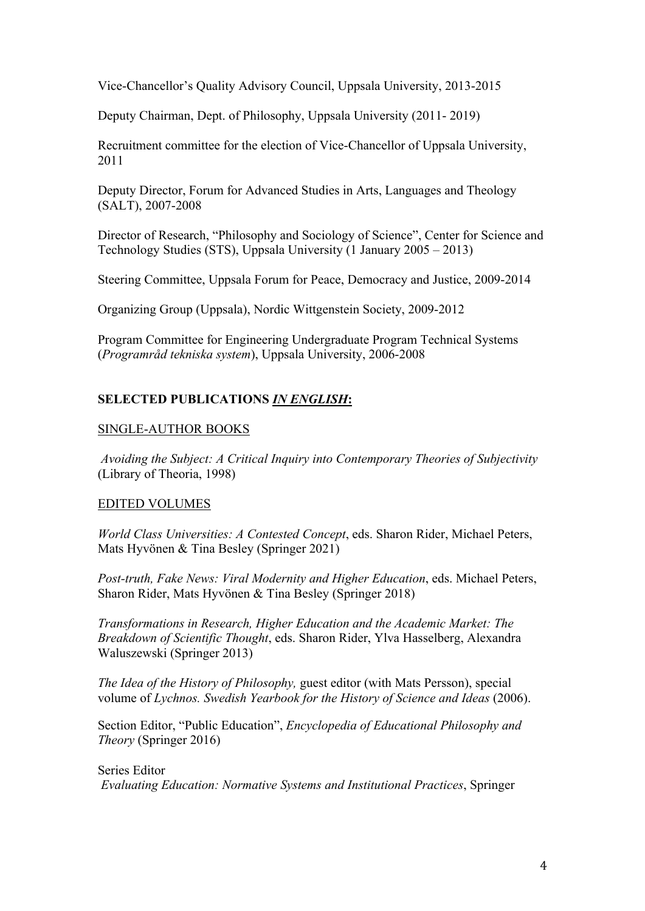Vice-Chancellor's Quality Advisory Council, Uppsala University, 2013-2015

Deputy Chairman, Dept. of Philosophy, Uppsala University (2011- 2019)

Recruitment committee for the election of Vice-Chancellor of Uppsala University, 2011

Deputy Director, Forum for Advanced Studies in Arts, Languages and Theology (SALT), 2007-2008

Director of Research, "Philosophy and Sociology of Science", Center for Science and Technology Studies (STS), Uppsala University (1 January 2005 – 2013)

Steering Committee, Uppsala Forum for Peace, Democracy and Justice, 2009-2014

Organizing Group (Uppsala), Nordic Wittgenstein Society, 2009-2012

Program Committee for Engineering Undergraduate Program Technical Systems (*Programråd tekniska system*), Uppsala University, 2006-2008

# **SELECTED PUBLICATIONS** *IN ENGLISH***:**

## SINGLE-AUTHOR BOOKS

*Avoiding the Subject: A Critical Inquiry into Contemporary Theories of Subjectivity* (Library of Theoria, 1998)

# EDITED VOLUMES

*World Class Universities: A Contested Concept*, eds. Sharon Rider, Michael Peters, Mats Hyvönen & Tina Besley (Springer 2021)

*Post-truth, Fake News: Viral Modernity and Higher Education*, eds. Michael Peters, Sharon Rider, Mats Hyvönen & Tina Besley (Springer 2018)

*Transformations in Research, Higher Education and the Academic Market: The Breakdown of Scientific Thought*, eds. Sharon Rider, Ylva Hasselberg, Alexandra Waluszewski (Springer 2013)

*The Idea of the History of Philosophy,* guest editor (with Mats Persson), special volume of *Lychnos. Swedish Yearbook for the History of Science and Ideas* (2006).

Section Editor, "Public Education", *Encyclopedia of Educational Philosophy and Theory* (Springer 2016)

# Series Editor *Evaluating Education: Normative Systems and Institutional Practices*, Springer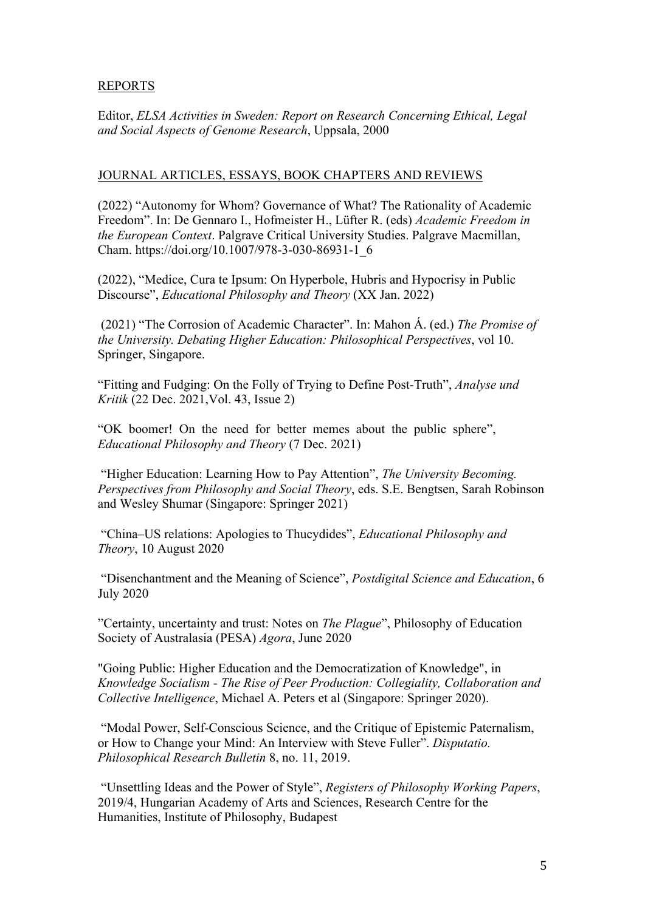# REPORTS

Editor, *ELSA Activities in Sweden: Report on Research Concerning Ethical, Legal and Social Aspects of Genome Research*, Uppsala, 2000

## JOURNAL ARTICLES, ESSAYS, BOOK CHAPTERS AND REVIEWS

(2022) "Autonomy for Whom? Governance of What? The Rationality of Academic Freedom". In: De Gennaro I., Hofmeister H., Lüfter R. (eds) *Academic Freedom in the European Context*. Palgrave Critical University Studies. Palgrave Macmillan, Cham. https://doi.org/10.1007/978-3-030-86931-1\_6

(2022), "Medice, Cura te Ipsum: On Hyperbole, Hubris and Hypocrisy in Public Discourse", *Educational Philosophy and Theory* (XX Jan. 2022)

(2021) "The Corrosion of Academic Character". In: Mahon Á. (ed.) *The Promise of the University. Debating Higher Education: Philosophical Perspectives*, vol 10. Springer, Singapore.

"Fitting and Fudging: On the Folly of Trying to Define Post-Truth", *Analyse und Kritik* (22 Dec. 2021,Vol. 43, Issue 2)

"OK boomer! On the need for better memes about the public sphere", *Educational Philosophy and Theory* (7 Dec. 2021)

"Higher Education: Learning How to Pay Attention", *The University Becoming. Perspectives from Philosophy and Social Theory*, eds. S.E. Bengtsen, Sarah Robinson and Wesley Shumar (Singapore: Springer 2021)

"China–US relations: Apologies to Thucydides", *Educational Philosophy and Theory*, 10 August 2020

"Disenchantment and the Meaning of Science", *Postdigital Science and Education*, 6 July 2020

"Certainty, uncertainty and trust: Notes on *The Plague*", Philosophy of Education Society of Australasia (PESA) *Agora*, June 2020

"Going Public: Higher Education and the Democratization of Knowledge", in *Knowledge Socialism - The Rise of Peer Production: Collegiality, Collaboration and Collective Intelligence*, Michael A. Peters et al (Singapore: Springer 2020).

"Modal Power, Self-Conscious Science, and the Critique of Epistemic Paternalism, or How to Change your Mind: An Interview with Steve Fuller". *Disputatio. Philosophical Research Bulletin* 8, no. 11, 2019.

"Unsettling Ideas and the Power of Style", *Registers of Philosophy Working Papers*, 2019/4, Hungarian Academy of Arts and Sciences, Research Centre for the Humanities, Institute of Philosophy, Budapest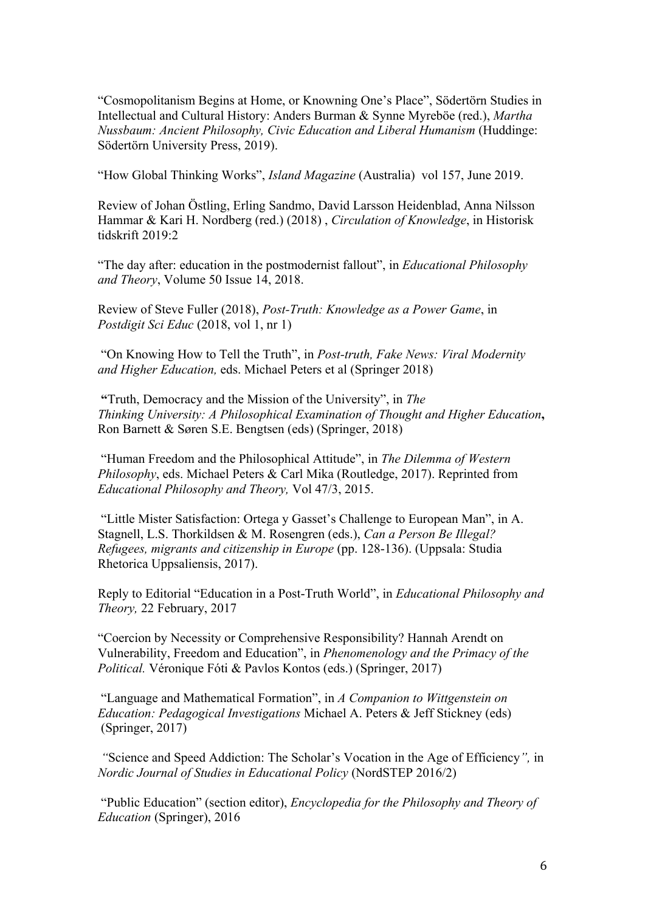"Cosmopolitanism Begins at Home, or Knowning One's Place", Södertörn Studies in Intellectual and Cultural History: Anders Burman & Synne Myreböe (red.), *Martha Nussbaum: Ancient Philosophy, Civic Education and Liberal Humanism* (Huddinge: Södertörn University Press, 2019).

"How Global Thinking Works", *Island Magazine* (Australia) vol 157, June 2019.

Review of Johan Östling, Erling Sandmo, David Larsson Heidenblad, Anna Nilsson Hammar & Kari H. Nordberg (red.) (2018) , *Circulation of Knowledge*, in Historisk tidskrift 2019:2

"The day after: education in the postmodernist fallout", in *Educational Philosophy and Theory*, Volume 50 Issue 14, 2018.

Review of Steve Fuller (2018), *Post-Truth: Knowledge as a Power Game*, in *Postdigit Sci Educ* (2018, vol 1, nr 1)

"On Knowing How to Tell the Truth", in *Post-truth, Fake News: Viral Modernity and Higher Education,* eds. Michael Peters et al (Springer 2018)

**"**Truth, Democracy and the Mission of the University", in *The Thinking University: A Philosophical Examination of Thought and Higher Education***,** Ron Barnett & Søren S.E. Bengtsen (eds) (Springer, 2018)

"Human Freedom and the Philosophical Attitude", in *The Dilemma of Western Philosophy*, eds. Michael Peters & Carl Mika (Routledge, 2017). Reprinted from *Educational Philosophy and Theory,* Vol 47/3, 2015.

"Little Mister Satisfaction: Ortega y Gasset's Challenge to European Man", in A. Stagnell, L.S. Thorkildsen & M. Rosengren (eds.), *Can a Person Be Illegal? Refugees, migrants and citizenship in Europe* (pp. 128-136). (Uppsala: Studia Rhetorica Uppsaliensis, 2017).

Reply to Editorial "Education in a Post-Truth World", in *Educational Philosophy and Theory,* 22 February, 2017

"Coercion by Necessity or Comprehensive Responsibility? Hannah Arendt on Vulnerability, Freedom and Education", in *Phenomenology and the Primacy of the Political.* Véronique Fóti & Pavlos Kontos (eds.) (Springer, 2017)

"Language and Mathematical Formation", in *A Companion to Wittgenstein on Education: Pedagogical Investigations* Michael A. Peters & Jeff Stickney (eds) (Springer, 2017)

*"*Science and Speed Addiction: The Scholar's Vocation in the Age of Efficiency*",* in *Nordic Journal of Studies in Educational Policy* (NordSTEP 2016/2)

"Public Education" (section editor), *Encyclopedia for the Philosophy and Theory of Education* (Springer), 2016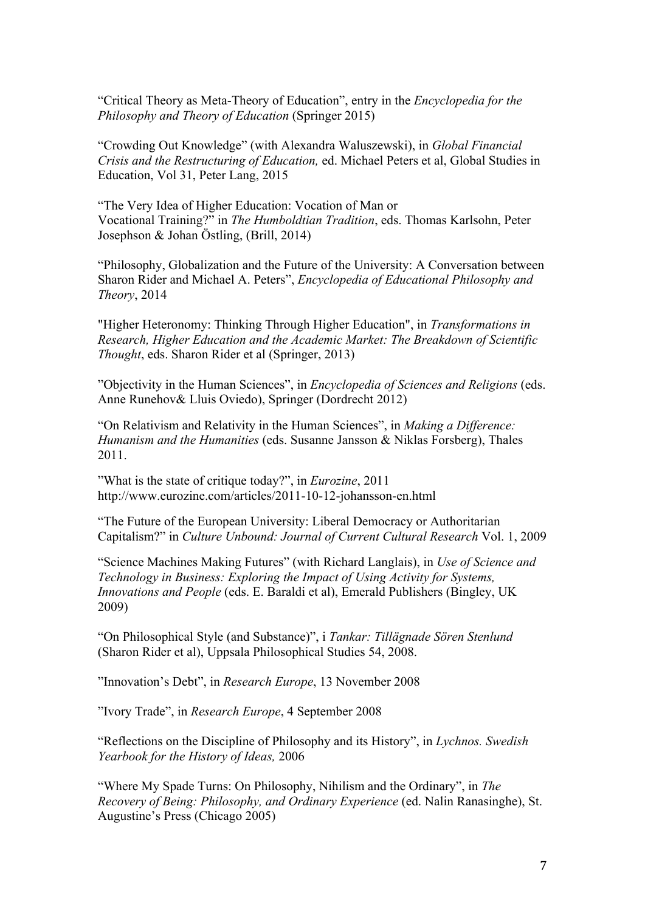"Critical Theory as Meta-Theory of Education", entry in the *Encyclopedia for the Philosophy and Theory of Education* (Springer 2015)

"Crowding Out Knowledge" (with Alexandra Waluszewski), in *Global Financial Crisis and the Restructuring of Education,* ed. Michael Peters et al, Global Studies in Education, Vol 31, Peter Lang, 2015

"The Very Idea of Higher Education: Vocation of Man or Vocational Training?" in *The Humboldtian Tradition*, eds. Thomas Karlsohn, Peter Josephson & Johan Östling, (Brill, 2014)

"Philosophy, Globalization and the Future of the University: A Conversation between Sharon Rider and Michael A. Peters", *Encyclopedia of Educational Philosophy and Theory*, 2014

"Higher Heteronomy: Thinking Through Higher Education", in *Transformations in Research, Higher Education and the Academic Market: The Breakdown of Scientific Thought*, eds. Sharon Rider et al (Springer, 2013)

"Objectivity in the Human Sciences", in *Encyclopedia of Sciences and Religions* (eds. Anne Runehov& Lluis Oviedo), Springer (Dordrecht 2012)

"On Relativism and Relativity in the Human Sciences", in *Making a Difference: Humanism and the Humanities* (eds. Susanne Jansson & Niklas Forsberg), Thales 2011.

"What is the state of critique today?", in *Eurozine*, 2011 http://www.eurozine.com/articles/2011-10-12-johansson-en.html

"The Future of the European University: Liberal Democracy or Authoritarian Capitalism?" in *Culture Unbound: Journal of Current Cultural Research* Vol. 1, 2009

"Science Machines Making Futures" (with Richard Langlais), in *Use of Science and Technology in Business: Exploring the Impact of Using Activity for Systems, Innovations and People* (eds. E. Baraldi et al), Emerald Publishers (Bingley, UK 2009)

"On Philosophical Style (and Substance)", i *Tankar: Tillägnade Sören Stenlund* (Sharon Rider et al), Uppsala Philosophical Studies 54, 2008.

"Innovation's Debt", in *Research Europe*, 13 November 2008

"Ivory Trade", in *Research Europe*, 4 September 2008

"Reflections on the Discipline of Philosophy and its History", in *Lychnos. Swedish Yearbook for the History of Ideas,* 2006

"Where My Spade Turns: On Philosophy, Nihilism and the Ordinary", in *The Recovery of Being: Philosophy, and Ordinary Experience* (ed. Nalin Ranasinghe), St. Augustine's Press (Chicago 2005)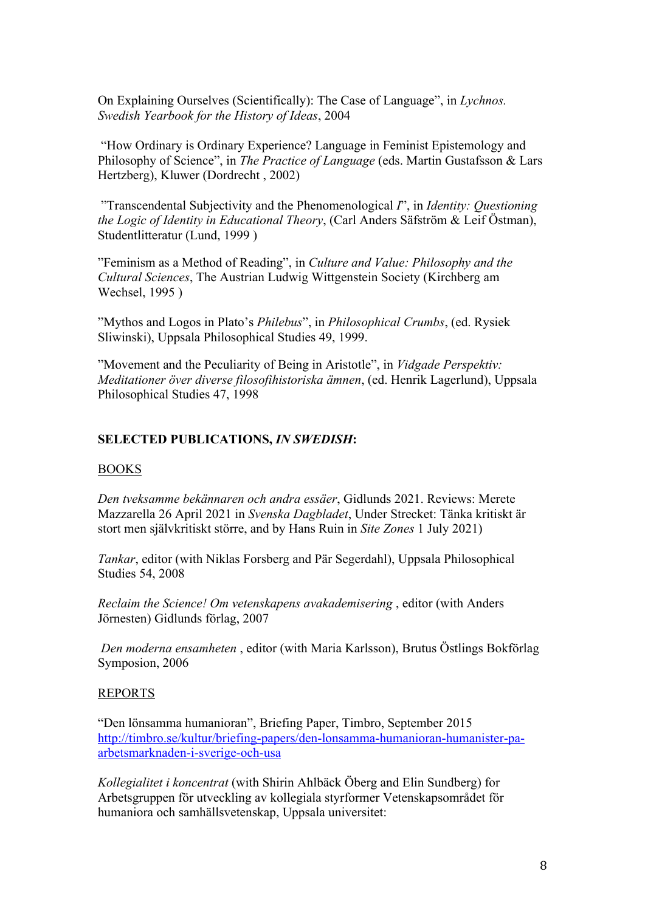On Explaining Ourselves (Scientifically): The Case of Language", in *Lychnos. Swedish Yearbook for the History of Ideas*, 2004

"How Ordinary is Ordinary Experience? Language in Feminist Epistemology and Philosophy of Science", in *The Practice of Language* (eds. Martin Gustafsson & Lars Hertzberg), Kluwer (Dordrecht , 2002)

"Transcendental Subjectivity and the Phenomenological *I*", in *Identity: Questioning the Logic of Identity in Educational Theory*, (Carl Anders Säfström & Leif Östman), Studentlitteratur (Lund, 1999 )

"Feminism as a Method of Reading", in *Culture and Value: Philosophy and the Cultural Sciences*, The Austrian Ludwig Wittgenstein Society (Kirchberg am Wechsel, 1995 )

"Mythos and Logos in Plato's *Philebus*", in *Philosophical Crumbs*, (ed. Rysiek Sliwinski), Uppsala Philosophical Studies 49, 1999.

"Movement and the Peculiarity of Being in Aristotle", in *Vidgade Perspektiv: Meditationer över diverse filosofihistoriska ämnen*, (ed. Henrik Lagerlund), Uppsala Philosophical Studies 47, 1998

## **SELECTED PUBLICATIONS,** *IN SWEDISH***:**

### BOOKS

*Den tveksamme bekännaren och andra essäer*, Gidlunds 2021. Reviews: Merete Mazzarella 26 April 2021 in *Svenska Dagbladet*, Under Strecket: Tänka kritiskt är stort men självkritiskt större, and by Hans Ruin in *Site Zones* 1 July 2021)

*Tankar*, editor (with Niklas Forsberg and Pär Segerdahl), Uppsala Philosophical Studies 54, 2008

*Reclaim the Science! Om vetenskapens avakademisering* , editor (with Anders Jörnesten) Gidlunds förlag, 2007

*Den moderna ensamheten* , editor (with Maria Karlsson), Brutus Östlings Bokförlag Symposion, 2006

### REPORTS

"Den lönsamma humanioran", Briefing Paper, Timbro, September 2015 http://timbro.se/kultur/briefing-papers/den-lonsamma-humanioran-humanister-paarbetsmarknaden-i-sverige-och-usa

*Kollegialitet i koncentrat* (with Shirin Ahlbäck Öberg and Elin Sundberg) for Arbetsgruppen för utveckling av kollegiala styrformer Vetenskapsområdet för humaniora och samhällsvetenskap, Uppsala universitet: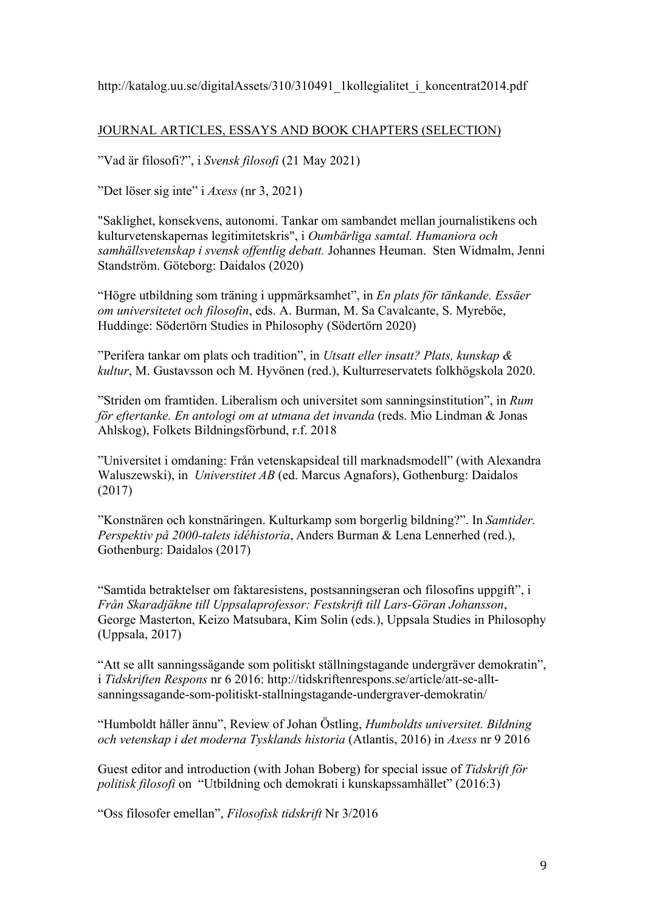http://katalog.uu.se/digitalAssets/310/310491\_1kollegialitet\_i\_koncentrat2014.pdf

# JOURNAL ARTICLES, ESSAYS AND BOOK CHAPTERS (SELECTION)

"Vad är filosofi?", i *Svensk filosofi* (21 May 2021)

"Det löser sig inte" i *Axess* (nr 3, 2021)

"Saklighet, konsekvens, autonomi. Tankar om sambandet mellan journalistikens och kulturvetenskapernas legitimitetskris", i *Oumbärliga samtal. Humaniora och samhällsvetenskap i svensk offentlig debatt.* Johannes Heuman. Sten Widmalm, Jenni Standström. Göteborg: Daidalos (2020)

"Högre utbildning som träning i uppmärksamhet", in *En plats för tänkande. Essäer om universitetet och filosofin*, eds. A. Burman, M. Sa Cavalcante, S. Myreböe, Huddinge: Södertörn Studies in Philosophy (Södertörn 2020)

"Perifera tankar om plats och tradition", in *Utsatt eller insatt? Plats, kunskap & kultur*, M. Gustavsson och M. Hyvönen (red.), Kulturreservatets folkhögskola 2020.

"Striden om framtiden. Liberalism och universitet som sanningsinstitution", in *Rum för eftertanke. En antologi om at utmana det invanda* (reds. Mio Lindman & Jonas Ahlskog), Folkets Bildningsförbund, r.f. 2018

"Universitet i omdaning: Från vetenskapsideal till marknadsmodell" (with Alexandra Waluszewski), in *Universtitet AB* (ed. Marcus Agnafors), Gothenburg: Daidalos (2017)

"Konstnären och konstnäringen. Kulturkamp som borgerlig bildning?". In *Samtider. Perspektiv på 2000-talets idéhistoria*, Anders Burman & Lena Lennerhed (red.), Gothenburg: Daidalos (2017)

"Samtida betraktelser om faktaresistens, postsanningseran och filosofins uppgift", i *Från Skaradjäkne till Uppsalaprofessor: Festskrift till Lars-Göran Johansson*, George Masterton, Keizo Matsubara, Kim Solin (eds.), Uppsala Studies in Philosophy (Uppsala, 2017)

"Att se allt sanningssägande som politiskt ställningstagande undergräver demokratin", i *Tidskriften Respons* nr 6 2016: http://tidskriftenrespons.se/article/att-se-alltsanningssagande-som-politiskt-stallningstagande-undergraver-demokratin/

"Humboldt håller ännu", Review of Johan Östling, *Humboldts universitet. Bildning och vetenskap i det moderna Tysklands historia* (Atlantis, 2016) in *Axess* nr 9 2016

Guest editor and introduction (with Johan Boberg) for special issue of *Tidskrift för politisk filosofi* on "Utbildning och demokrati i kunskapssamhället" (2016:3)

"Oss filosofer emellan", *Filosofisk tidskrift* Nr 3/2016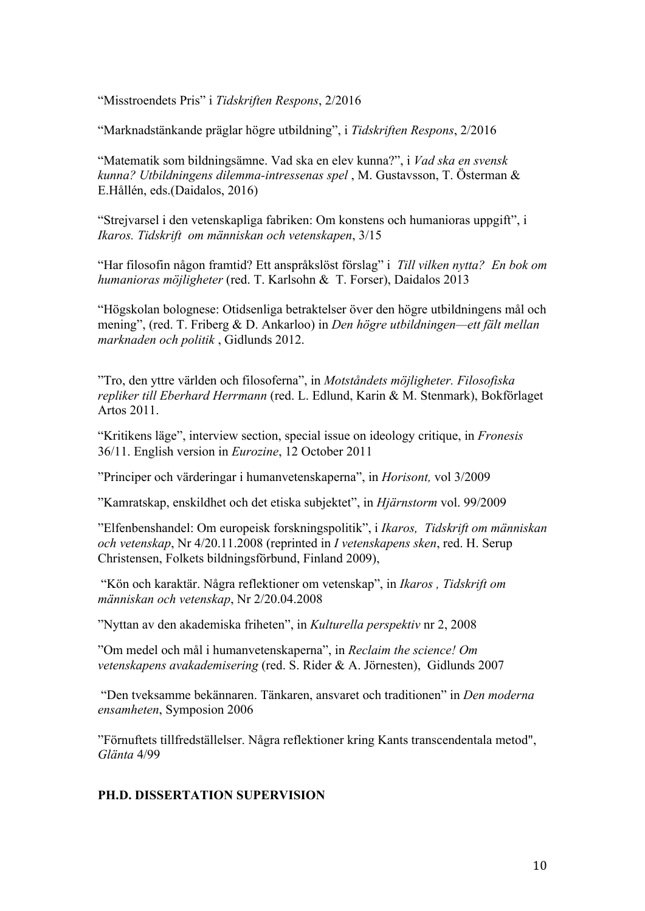"Misstroendets Pris" i *Tidskriften Respons*, 2/2016

"Marknadstänkande präglar högre utbildning", i *Tidskriften Respons*, 2/2016

"Matematik som bildningsämne. Vad ska en elev kunna?", i *Vad ska en svensk kunna? Utbildningens dilemma-intressenas spel* , M. Gustavsson, T. Österman & E.Hållén, eds.(Daidalos, 2016)

"Strejvarsel i den vetenskapliga fabriken: Om konstens och humanioras uppgift", i *Ikaros. Tidskrift om människan och vetenskapen*, 3/15

"Har filosofin någon framtid? Ett anspråkslöst förslag" i *Till vilken nytta? En bok om humanioras möjligheter* (red. T. Karlsohn & T. Forser), Daidalos 2013

"Högskolan bolognese: Otidsenliga betraktelser över den högre utbildningens mål och mening", (red. T. Friberg & D. Ankarloo) in *Den högre utbildningen—ett fält mellan marknaden och politik* , Gidlunds 2012.

"Tro, den yttre världen och filosoferna", in *Motståndets möjligheter. Filosofiska repliker till Eberhard Herrmann* (red. L. Edlund, Karin & M. Stenmark), Bokförlaget Artos 2011.

"Kritikens läge", interview section, special issue on ideology critique, in *Fronesis*  36/11. English version in *Eurozine*, 12 October 2011

"Principer och värderingar i humanvetenskaperna", in *Horisont,* vol 3/2009

"Kamratskap, enskildhet och det etiska subjektet", in *Hjärnstorm* vol. 99/2009

"Elfenbenshandel: Om europeisk forskningspolitik", i *Ikaros, Tidskrift om människan och vetenskap*, Nr 4/20.11.2008 (reprinted in *I vetenskapens sken*, red. H. Serup Christensen, Folkets bildningsförbund, Finland 2009),

"Kön och karaktär. Några reflektioner om vetenskap", in *Ikaros , Tidskrift om människan och vetenskap*, Nr 2/20.04.2008

"Nyttan av den akademiska friheten", in *Kulturella perspektiv* nr 2, 2008

"Om medel och mål i humanvetenskaperna", in *Reclaim the science! Om vetenskapens avakademisering* (red. S. Rider & A. Jörnesten), Gidlunds 2007

"Den tveksamme bekännaren. Tänkaren, ansvaret och traditionen" in *Den moderna ensamheten*, Symposion 2006

"Förnuftets tillfredställelser. Några reflektioner kring Kants transcendentala metod", *Glänta* 4/99

### **PH.D. DISSERTATION SUPERVISION**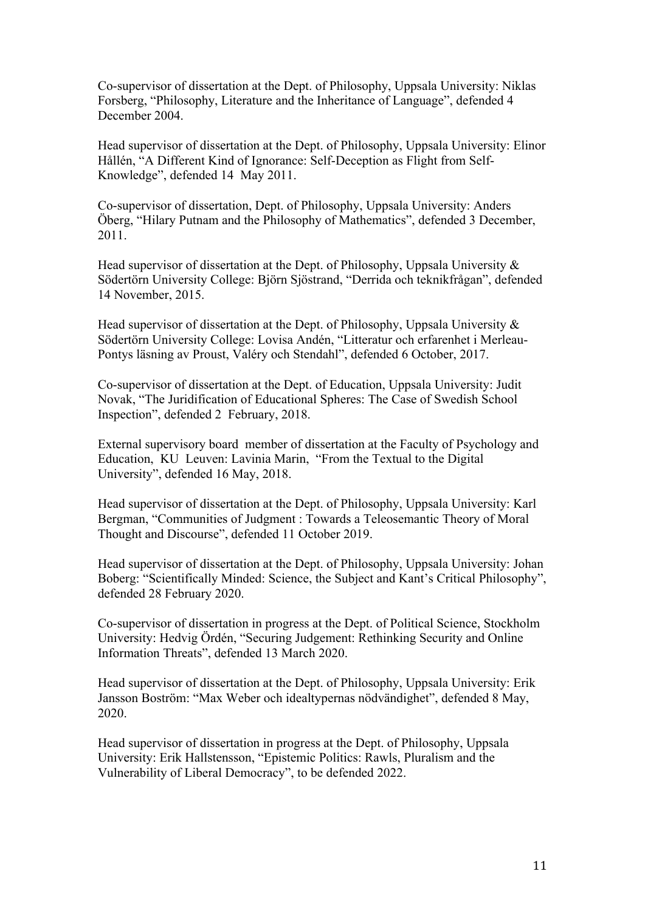Co-supervisor of dissertation at the Dept. of Philosophy, Uppsala University: Niklas Forsberg, "Philosophy, Literature and the Inheritance of Language", defended 4 December 2004.

Head supervisor of dissertation at the Dept. of Philosophy, Uppsala University: Elinor Hållén, "A Different Kind of Ignorance: Self-Deception as Flight from Self-Knowledge", defended 14 May 2011.

Co-supervisor of dissertation, Dept. of Philosophy, Uppsala University: Anders Öberg, "Hilary Putnam and the Philosophy of Mathematics", defended 3 December, 2011.

Head supervisor of dissertation at the Dept. of Philosophy, Uppsala University & Södertörn University College: Björn Sjöstrand, "Derrida och teknikfrågan", defended 14 November, 2015.

Head supervisor of dissertation at the Dept. of Philosophy, Uppsala University & Södertörn University College: Lovisa Andén, "Litteratur och erfarenhet i Merleau-Pontys läsning av Proust, Valéry och Stendahl", defended 6 October, 2017.

Co-supervisor of dissertation at the Dept. of Education, Uppsala University: Judit Novak, "The Juridification of Educational Spheres: The Case of Swedish School Inspection", defended 2 February, 2018.

External supervisory board member of dissertation at the Faculty of Psychology and Education, KU Leuven: Lavinia Marin, "From the Textual to the Digital University", defended 16 May, 2018.

Head supervisor of dissertation at the Dept. of Philosophy, Uppsala University: Karl Bergman, "Communities of Judgment : Towards a Teleosemantic Theory of Moral Thought and Discourse", defended 11 October 2019.

Head supervisor of dissertation at the Dept. of Philosophy, Uppsala University: Johan Boberg: "Scientifically Minded: Science, the Subject and Kant's Critical Philosophy", defended 28 February 2020.

Co-supervisor of dissertation in progress at the Dept. of Political Science, Stockholm University: Hedvig Ördén, "Securing Judgement: Rethinking Security and Online Information Threats", defended 13 March 2020.

Head supervisor of dissertation at the Dept. of Philosophy, Uppsala University: Erik Jansson Boström: "Max Weber och idealtypernas nödvändighet", defended 8 May, 2020.

Head supervisor of dissertation in progress at the Dept. of Philosophy, Uppsala University: Erik Hallstensson, "Epistemic Politics: Rawls, Pluralism and the Vulnerability of Liberal Democracy", to be defended 2022.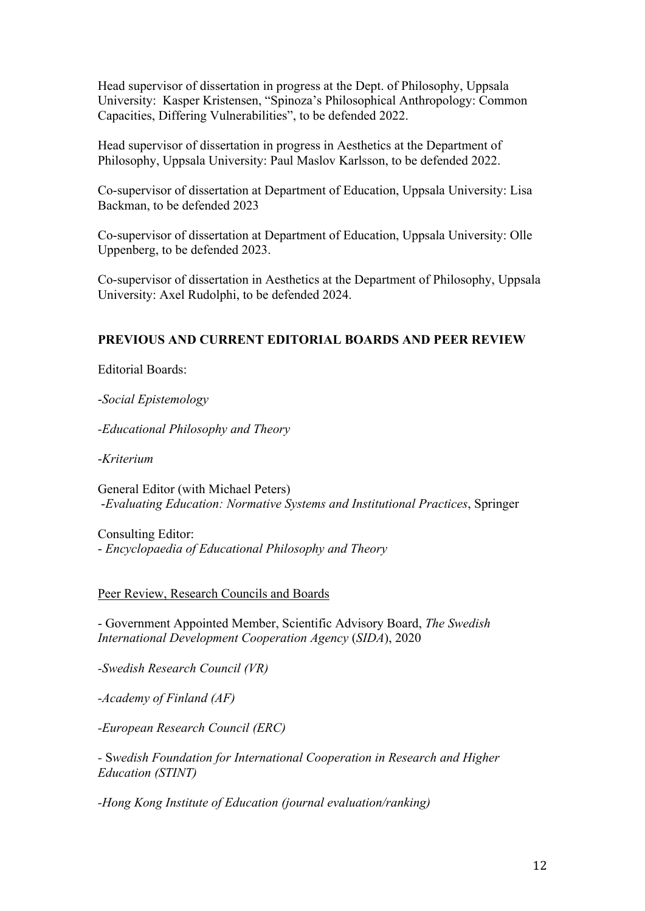Head supervisor of dissertation in progress at the Dept. of Philosophy, Uppsala University: Kasper Kristensen, "Spinoza's Philosophical Anthropology: Common Capacities, Differing Vulnerabilities", to be defended 2022.

Head supervisor of dissertation in progress in Aesthetics at the Department of Philosophy, Uppsala University: Paul Maslov Karlsson, to be defended 2022.

Co-supervisor of dissertation at Department of Education, Uppsala University: Lisa Backman, to be defended 2023

Co-supervisor of dissertation at Department of Education, Uppsala University: Olle Uppenberg, to be defended 2023.

Co-supervisor of dissertation in Aesthetics at the Department of Philosophy, Uppsala University: Axel Rudolphi, to be defended 2024.

# **PREVIOUS AND CURRENT EDITORIAL BOARDS AND PEER REVIEW**

Editorial Boards:

-*Social Epistemology*

*-Educational Philosophy and Theory*

-*Kriterium*

General Editor (with Michael Peters) -*Evaluating Education: Normative Systems and Institutional Practices*, Springer

Consulting Editor:

- *Encyclopaedia of Educational Philosophy and Theory*

Peer Review, Research Councils and Boards

- Government Appointed Member, Scientific Advisory Board, *The Swedish International Development Cooperation Agency* (*SIDA*), 2020

*-Swedish Research Council (VR)*

*-Academy of Finland (AF)*

*-European Research Council (ERC)*

*-* S*wedish Foundation for International Cooperation in Research and Higher Education (STINT)*

*-Hong Kong Institute of Education (journal evaluation/ranking)*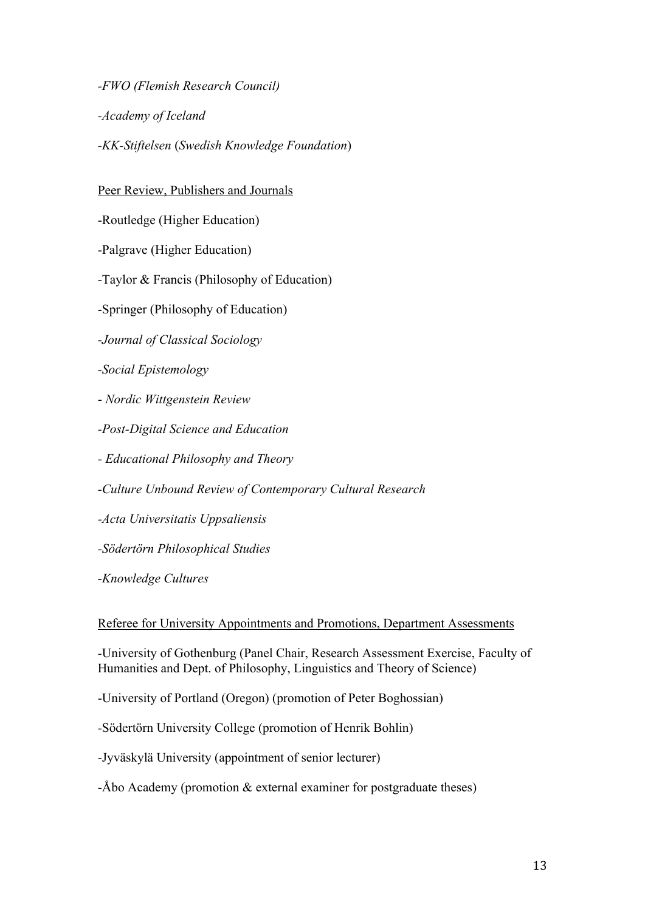*-FWO (Flemish Research Council) -Academy of Iceland -KK-Stiftelsen* (*Swedish Knowledge Foundation*)

## Peer Review, Publishers and Journals

-Routledge (Higher Education)

-Palgrave (Higher Education)

-Taylor & Francis (Philosophy of Education)

-Springer (Philosophy of Education)

-*Journal of Classical Sociology*

*-Social Epistemology*

- *Nordic Wittgenstein Review*

*-Post-Digital Science and Education*

*- Educational Philosophy and Theory*

*-Culture Unbound Review of Contemporary Cultural Research*

*-Acta Universitatis Uppsaliensis*

*-Södertörn Philosophical Studies*

*-Knowledge Cultures*

Referee for University Appointments and Promotions, Department Assessments

*-*University of Gothenburg (Panel Chair, Research Assessment Exercise, Faculty of Humanities and Dept. of Philosophy, Linguistics and Theory of Science)

-University of Portland (Oregon) (promotion of Peter Boghossian)

*-*Södertörn University College (promotion of Henrik Bohlin)

-Jyväskylä University (appointment of senior lecturer)

-Åbo Academy (promotion & external examiner for postgraduate theses)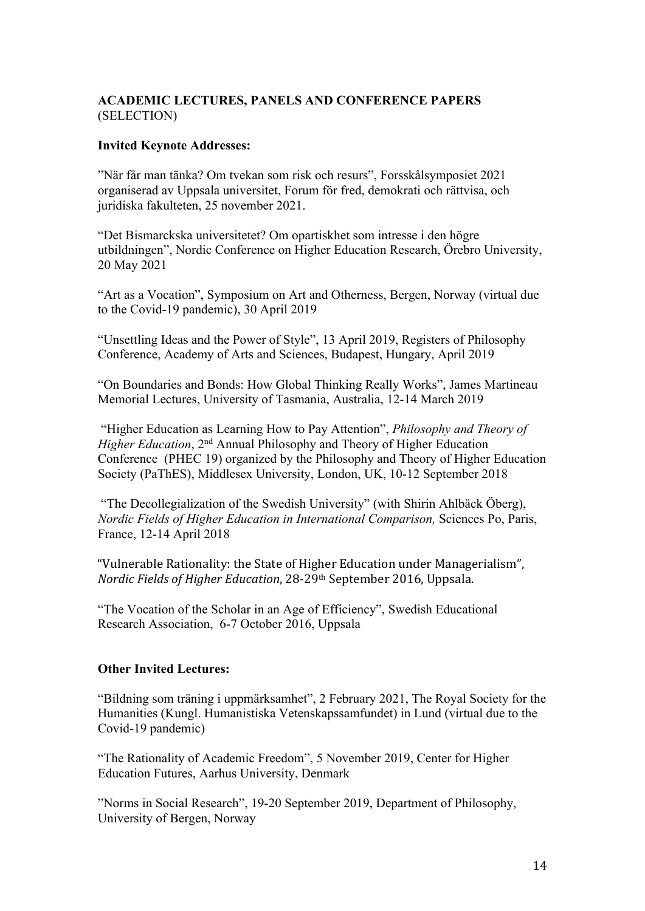# **ACADEMIC LECTURES, PANELS AND CONFERENCE PAPERS** (SELECTION)

## **Invited Keynote Addresses:**

"När får man tänka? Om tvekan som risk och resurs", Forsskålsymposiet 2021 organiserad av Uppsala universitet, Forum för fred, demokrati och rättvisa, och juridiska fakulteten, 25 november 2021.

"Det Bismarckska universitetet? Om opartiskhet som intresse i den högre utbildningen", Nordic Conference on Higher Education Research, Örebro University, 20 May 2021

"Art as a Vocation", Symposium on Art and Otherness, Bergen, Norway (virtual due to the Covid-19 pandemic), 30 April 2019

"Unsettling Ideas and the Power of Style", 13 April 2019, Registers of Philosophy Conference, Academy of Arts and Sciences, Budapest, Hungary, April 2019

"On Boundaries and Bonds: How Global Thinking Really Works", James Martineau Memorial Lectures, University of Tasmania, Australia, 12-14 March 2019

"Higher Education as Learning How to Pay Attention", *Philosophy and Theory of Higher Education*, 2<sup>nd</sup> Annual Philosophy and Theory of Higher Education Conference (PHEC 19) organized by the Philosophy and Theory of Higher Education Society (PaThES), Middlesex University, London, UK, 10-12 September 2018

"The Decollegialization of the Swedish University" (with Shirin Ahlbäck Öberg), *Nordic Fields of Higher Education in International Comparison,* Sciences Po, Paris, France, 12-14 April 2018

"Vulnerable Rationality: the State of Higher Education under Managerialism", *Nordic Fields of Higher Education*, 28-29<sup>th</sup> September 2016, Uppsala.

"The Vocation of the Scholar in an Age of Efficiency", Swedish Educational Research Association, 6-7 October 2016, Uppsala

### **Other Invited Lectures:**

"Bildning som träning i uppmärksamhet", 2 February 2021, The Royal Society for the Humanities (Kungl. Humanistiska Vetenskapssamfundet) in Lund (virtual due to the Covid-19 pandemic)

"The Rationality of Academic Freedom", 5 November 2019, Center for Higher Education Futures, Aarhus University, Denmark

"Norms in Social Research", 19-20 September 2019, Department of Philosophy, University of Bergen, Norway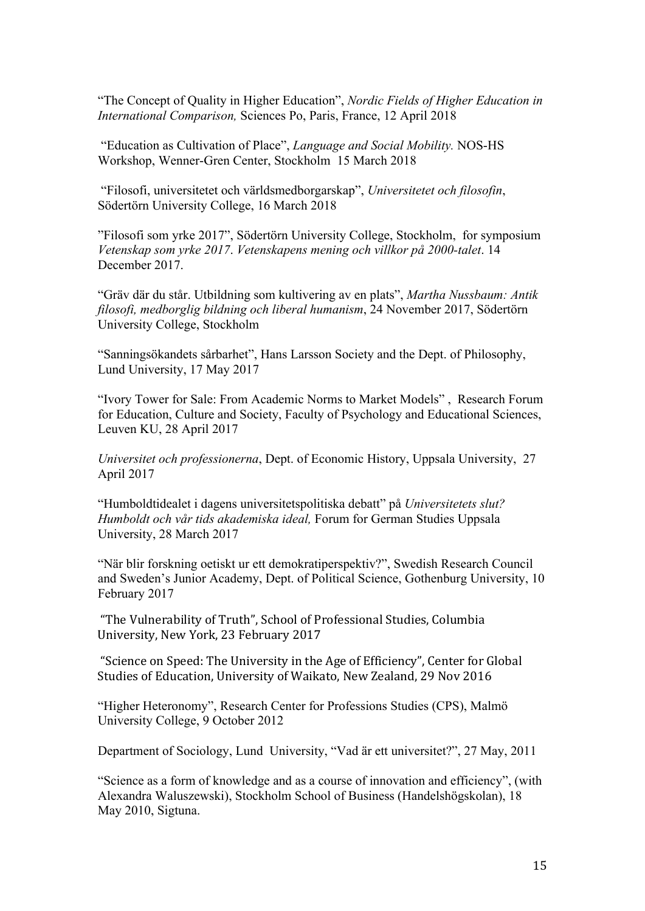"The Concept of Quality in Higher Education", *Nordic Fields of Higher Education in International Comparison,* Sciences Po, Paris, France, 12 April 2018

"Education as Cultivation of Place", *Language and Social Mobility.* NOS-HS Workshop, Wenner-Gren Center, Stockholm 15 March 2018

"Filosofi, universitetet och världsmedborgarskap", *Universitetet och filosofin*, Södertörn University College, 16 March 2018

"Filosofi som yrke 2017", Södertörn University College, Stockholm, for symposium *Vetenskap som yrke 2017*. *Vetenskapens mening och villkor på 2000-talet*. 14 December 2017.

"Gräv där du står. Utbildning som kultivering av en plats", *Martha Nussbaum: Antik filosofi, medborglig bildning och liberal humanism*, 24 November 2017, Södertörn University College, Stockholm

"Sanningsökandets sårbarhet", Hans Larsson Society and the Dept. of Philosophy, Lund University, 17 May 2017

"Ivory Tower for Sale: From Academic Norms to Market Models" , Research Forum for Education, Culture and Society, Faculty of Psychology and Educational Sciences, Leuven KU, 28 April 2017

*Universitet och professionerna*, Dept. of Economic History, Uppsala University, 27 April 2017

"Humboldtidealet i dagens universitetspolitiska debatt" på *Universitetets slut? Humboldt och vår tids akademiska ideal,* Forum for German Studies Uppsala University, 28 March 2017

"När blir forskning oetiskt ur ett demokratiperspektiv?", Swedish Research Council and Sweden's Junior Academy, Dept. of Political Science, Gothenburg University, 10 February 2017

"The Vulnerability of Truth", School of Professional Studies, Columbia University, New York, 23 February 2017

"Science on Speed: The University in the Age of Efficiency", Center for Global Studies of Education, University of Waikato, New Zealand, 29 Nov 2016

"Higher Heteronomy", Research Center for Professions Studies (CPS), Malmö University College, 9 October 2012

Department of Sociology, Lund University, "Vad är ett universitet?", 27 May, 2011

"Science as a form of knowledge and as a course of innovation and efficiency", (with Alexandra Waluszewski), Stockholm School of Business (Handelshögskolan), 18 May 2010, Sigtuna.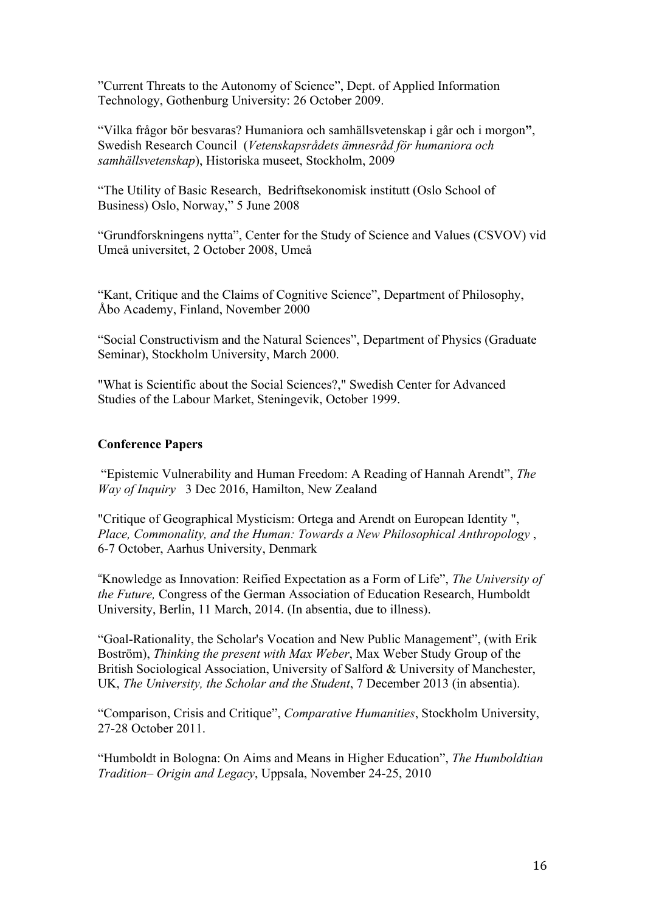"Current Threats to the Autonomy of Science", Dept. of Applied Information Technology, Gothenburg University: 26 October 2009.

"Vilka frågor bör besvaras? Humaniora och samhällsvetenskap i går och i morgon**"**, Swedish Research Council (*Vetenskapsrådets ämnesråd för humaniora och samhällsvetenskap*), Historiska museet, Stockholm, 2009

"The Utility of Basic Research, Bedriftsekonomisk institutt (Oslo School of Business) Oslo, Norway," 5 June 2008

"Grundforskningens nytta", Center for the Study of Science and Values (CSVOV) vid Umeå universitet, 2 October 2008, Umeå

"Kant, Critique and the Claims of Cognitive Science", Department of Philosophy, Åbo Academy, Finland, November 2000

"Social Constructivism and the Natural Sciences", Department of Physics (Graduate Seminar), Stockholm University, March 2000.

"What is Scientific about the Social Sciences?," Swedish Center for Advanced Studies of the Labour Market, Steningevik, October 1999.

#### **Conference Papers**

"Epistemic Vulnerability and Human Freedom: A Reading of Hannah Arendt", *The Way of Inquiry* 3 Dec 2016, Hamilton, New Zealand

"Critique of Geographical Mysticism: Ortega and Arendt on European Identity ", *Place, Commonality, and the Human: Towards a New Philosophical Anthropology* , 6-7 October, Aarhus University, Denmark

"Knowledge as Innovation: Reified Expectation as a Form of Life", *The University of the Future,* Congress of the German Association of Education Research, Humboldt University, Berlin, 11 March, 2014. (In absentia, due to illness).

"Goal-Rationality, the Scholar's Vocation and New Public Management", (with Erik Boström), *Thinking the present with Max Weber*, Max Weber Study Group of the British Sociological Association, University of Salford & University of Manchester, UK, *The University, the Scholar and the Student*, 7 December 2013 (in absentia).

"Comparison, Crisis and Critique", *Comparative Humanities*, Stockholm University, 27-28 October 2011.

"Humboldt in Bologna: On Aims and Means in Higher Education", *The Humboldtian Tradition– Origin and Legacy*, Uppsala, November 24-25, 2010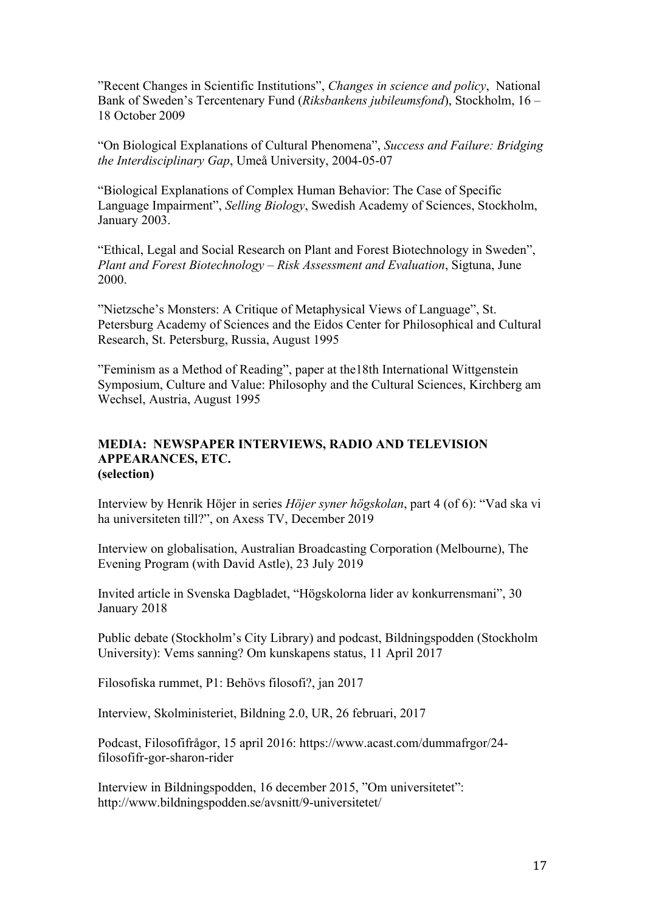"Recent Changes in Scientific Institutions", *Changes in science and policy*, National Bank of Sweden's Tercentenary Fund (*Riksbankens jubileumsfond*), Stockholm, 16 – 18 October 2009

"On Biological Explanations of Cultural Phenomena", *Success and Failure: Bridging the Interdisciplinary Gap*, Umeå University, 2004-05-07

"Biological Explanations of Complex Human Behavior: The Case of Specific Language Impairment", *Selling Biology*, Swedish Academy of Sciences, Stockholm, January 2003.

"Ethical, Legal and Social Research on Plant and Forest Biotechnology in Sweden", *Plant and Forest Biotechnology – Risk Assessment and Evaluation*, Sigtuna, June 2000.

"Nietzsche's Monsters: A Critique of Metaphysical Views of Language", St. Petersburg Academy of Sciences and the Eidos Center for Philosophical and Cultural Research, St. Petersburg, Russia, August 1995

"Feminism as a Method of Reading", paper at the18th International Wittgenstein Symposium, Culture and Value: Philosophy and the Cultural Sciences, Kirchberg am Wechsel, Austria, August 1995

#### **MEDIA: NEWSPAPER INTERVIEWS, RADIO AND TELEVISION APPEARANCES, ETC. (selection)**

Interview by Henrik Höjer in series *Höjer syner högskolan*, part 4 (of 6): "Vad ska vi ha universiteten till?", on Axess TV, December 2019

Interview on globalisation, Australian Broadcasting Corporation (Melbourne), The Evening Program (with David Astle), 23 July 2019

Invited article in Svenska Dagbladet, "Högskolorna lider av konkurrensmani", 30 January 2018

Public debate (Stockholm's City Library) and podcast, Bildningspodden (Stockholm University): Vems sanning? Om kunskapens status, 11 April 2017

Filosofiska rummet, P1: Behövs filosofi?, jan 2017

Interview, Skolministeriet, Bildning 2.0, UR, 26 februari, 2017

Podcast, Filosofifrågor, 15 april 2016: https://www.acast.com/dummafrgor/24 filosofifr-gor-sharon-rider

Interview in Bildningspodden, 16 december 2015, "Om universitetet": http://www.bildningspodden.se/avsnitt/9-universitetet/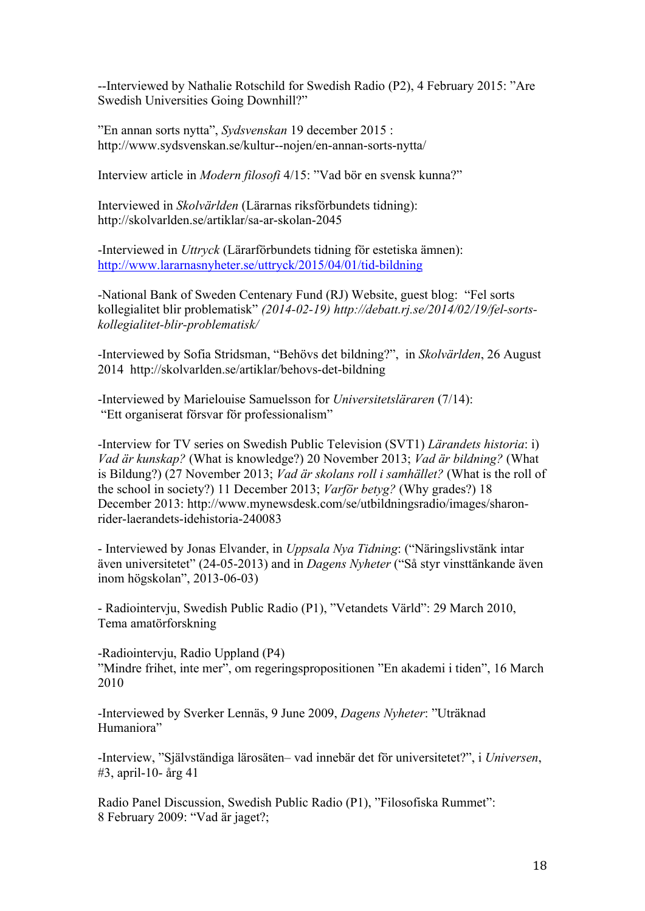--Interviewed by Nathalie Rotschild for Swedish Radio (P2), 4 February 2015: "Are Swedish Universities Going Downhill?"

"En annan sorts nytta", *Sydsvenskan* 19 december 2015 : http://www.sydsvenskan.se/kultur--nojen/en-annan-sorts-nytta/

Interview article in *Modern filosofi* 4/15: "Vad bör en svensk kunna?"

Interviewed in *Skolvärlden* (Lärarnas riksförbundets tidning): http://skolvarlden.se/artiklar/sa-ar-skolan-2045

-Interviewed in *Uttryck* (Lärarförbundets tidning för estetiska ämnen): http://www.lararnasnyheter.se/uttryck/2015/04/01/tid-bildning

-National Bank of Sweden Centenary Fund (RJ) Website, guest blog: "Fel sorts kollegialitet blir problematisk" *(2014-02-19) http://debatt.rj.se/2014/02/19/fel-sortskollegialitet-blir-problematisk/*

-Interviewed by Sofia Stridsman, "Behövs det bildning?", in *Skolvärlden*, 26 August 2014 http://skolvarlden.se/artiklar/behovs-det-bildning

-Interviewed by Marielouise Samuelsson for *Universitetsläraren* (7/14): "Ett organiserat försvar för professionalism"

-Interview for TV series on Swedish Public Television (SVT1) *Lärandets historia*: i) *Vad är kunskap?* (What is knowledge?) 20 November 2013; *Vad är bildning?* (What is Bildung?) (27 November 2013; *Vad är skolans roll i samhället?* (What is the roll of the school in society?) 11 December 2013; *Varför betyg?* (Why grades?) 18 December 2013: http://www.mynewsdesk.com/se/utbildningsradio/images/sharonrider-laerandets-idehistoria-240083

- Interviewed by Jonas Elvander, in *Uppsala Nya Tidning*: ("Näringslivstänk intar även universitetet" (24-05-2013) and in *Dagens Nyheter* ("Så styr vinsttänkande även inom högskolan", 2013-06-03)

- Radiointervju, Swedish Public Radio (P1), "Vetandets Värld": 29 March 2010, Tema amatörforskning

-Radiointervju, Radio Uppland (P4) "Mindre frihet, inte mer", om regeringspropositionen "En akademi i tiden", 16 March 2010

-Interviewed by Sverker Lennäs, 9 June 2009, *Dagens Nyheter*: "Uträknad Humaniora"

-Interview, "Självständiga lärosäten– vad innebär det för universitetet?", i *Universen*, #3, april-10- årg 41

Radio Panel Discussion, Swedish Public Radio (P1), "Filosofiska Rummet": 8 February 2009: "Vad är jaget?;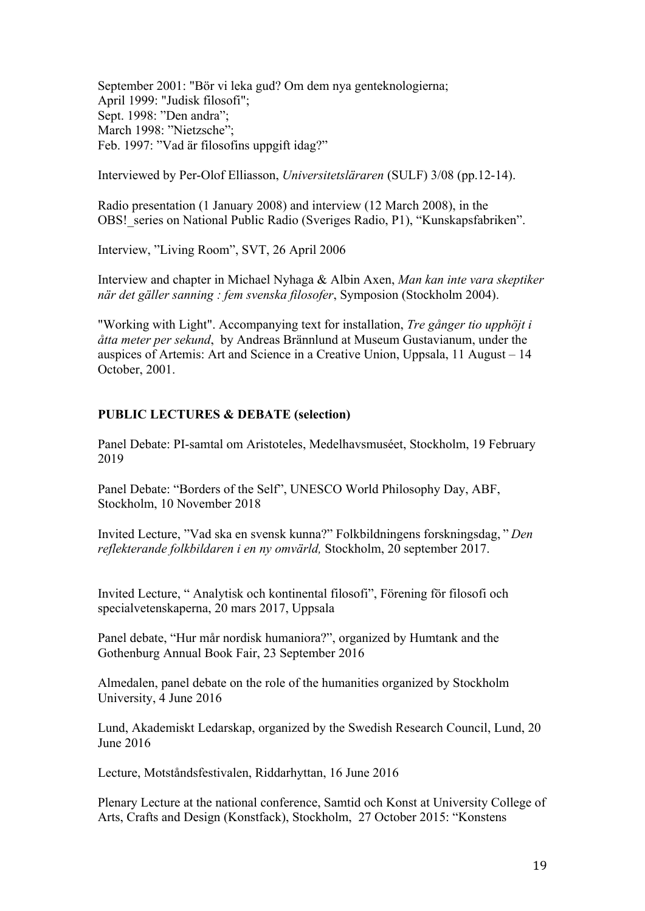September 2001: "Bör vi leka gud? Om dem nya genteknologierna; April 1999: "Judisk filosofi"; Sept. 1998: "Den andra"; March 1998: "Nietzsche"; Feb. 1997: "Vad är filosofins uppgift idag?"

Interviewed by Per-Olof Elliasson, *Universitetsläraren* (SULF) 3/08 (pp.12-14).

Radio presentation (1 January 2008) and interview (12 March 2008), in the OBS! series on National Public Radio (Sveriges Radio, P1), "Kunskapsfabriken".

Interview, "Living Room", SVT, 26 April 2006

Interview and chapter in Michael Nyhaga & Albin Axen, *Man kan inte vara skeptiker när det gäller sanning : fem svenska filosofer*, Symposion (Stockholm 2004).

"Working with Light". Accompanying text for installation, *Tre gånger tio upphöjt i åtta meter per sekund*, by Andreas Brännlund at Museum Gustavianum, under the auspices of Artemis: Art and Science in a Creative Union, Uppsala, 11 August – 14 October, 2001.

# **PUBLIC LECTURES & DEBATE (selection)**

Panel Debate: PI-samtal om Aristoteles, Medelhavsmuséet, Stockholm, 19 February 2019

Panel Debate: "Borders of the Self", UNESCO World Philosophy Day, ABF, Stockholm, 10 November 2018

Invited Lecture, "Vad ska en svensk kunna?" Folkbildningens forskningsdag, " *Den reflekterande folkbildaren i en ny omvärld,* Stockholm, 20 september 2017.

Invited Lecture, " Analytisk och kontinental filosofi", Förening för filosofi och specialvetenskaperna, 20 mars 2017, Uppsala

Panel debate, "Hur mår nordisk humaniora?", organized by Humtank and the Gothenburg Annual Book Fair, 23 September 2016

Almedalen, panel debate on the role of the humanities organized by Stockholm University, 4 June 2016

Lund, Akademiskt Ledarskap, organized by the Swedish Research Council, Lund, 20 June 2016

Lecture, Motståndsfestivalen, Riddarhyttan, 16 June 2016

Plenary Lecture at the national conference, Samtid och Konst at University College of Arts, Crafts and Design (Konstfack), Stockholm, 27 October 2015: "Konstens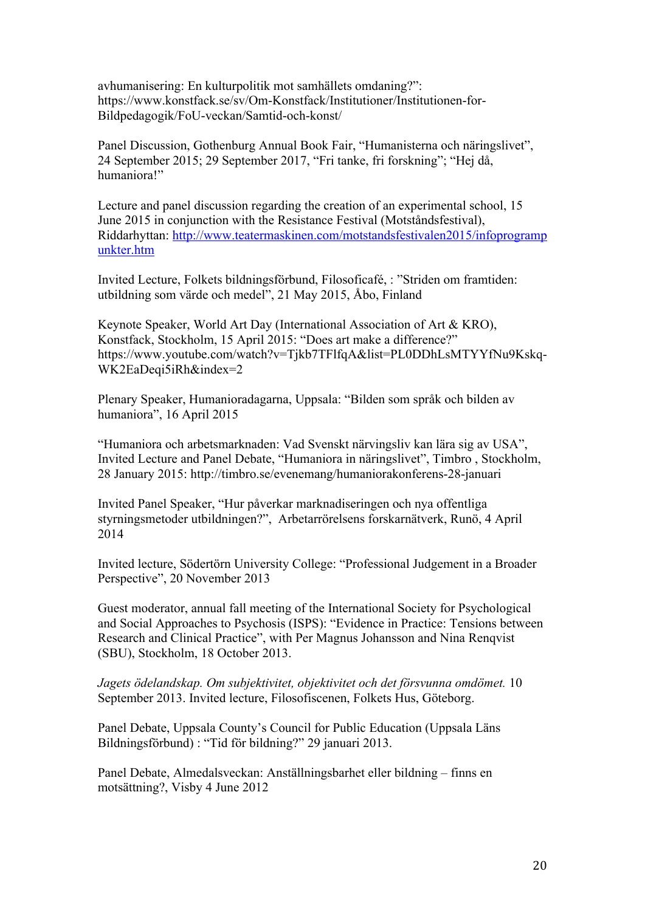avhumanisering: En kulturpolitik mot samhällets omdaning?": https://www.konstfack.se/sv/Om-Konstfack/Institutioner/Institutionen-for-Bildpedagogik/FoU-veckan/Samtid-och-konst/

Panel Discussion, Gothenburg Annual Book Fair, "Humanisterna och näringslivet", 24 September 2015; 29 September 2017, "Fri tanke, fri forskning"; "Hej då, humaniora!"

Lecture and panel discussion regarding the creation of an experimental school, 15 June 2015 in conjunction with the Resistance Festival (Motståndsfestival), Riddarhyttan: http://www.teatermaskinen.com/motstandsfestivalen2015/infoprogramp unkter.htm

Invited Lecture, Folkets bildningsförbund, Filosoficafé, : "Striden om framtiden: utbildning som värde och medel", 21 May 2015, Åbo, Finland

Keynote Speaker, World Art Day (International Association of Art & KRO), Konstfack, Stockholm, 15 April 2015: "Does art make a difference?" https://www.youtube.com/watch?v=Tjkb7TFlfqA&list=PL0DDhLsMTYYfNu9Kskq-WK2EaDeqi5iRh&index=2

Plenary Speaker, Humanioradagarna, Uppsala: "Bilden som språk och bilden av humaniora", 16 April 2015

"Humaniora och arbetsmarknaden: Vad Svenskt närvingsliv kan lära sig av USA", Invited Lecture and Panel Debate, "Humaniora in näringslivet", Timbro , Stockholm, 28 January 2015: http://timbro.se/evenemang/humaniorakonferens-28-januari

Invited Panel Speaker, "Hur påverkar marknadiseringen och nya offentliga styrningsmetoder utbildningen?", Arbetarrörelsens forskarnätverk, Runö, 4 April 2014

Invited lecture, Södertörn University College: "Professional Judgement in a Broader Perspective", 20 November 2013

Guest moderator, annual fall meeting of the International Society for Psychological and Social Approaches to Psychosis (ISPS): "Evidence in Practice: Tensions between Research and Clinical Practice", with Per Magnus Johansson and Nina Renqvist (SBU), Stockholm, 18 October 2013.

*Jagets ödelandskap. Om subjektivitet, objektivitet och det försvunna omdömet.* 10 September 2013. Invited lecture, Filosofiscenen, Folkets Hus, Göteborg.

Panel Debate, Uppsala County's Council for Public Education (Uppsala Läns Bildningsförbund) : "Tid för bildning?" 29 januari 2013.

Panel Debate, Almedalsveckan: Anställningsbarhet eller bildning – finns en motsättning?, Visby 4 June 2012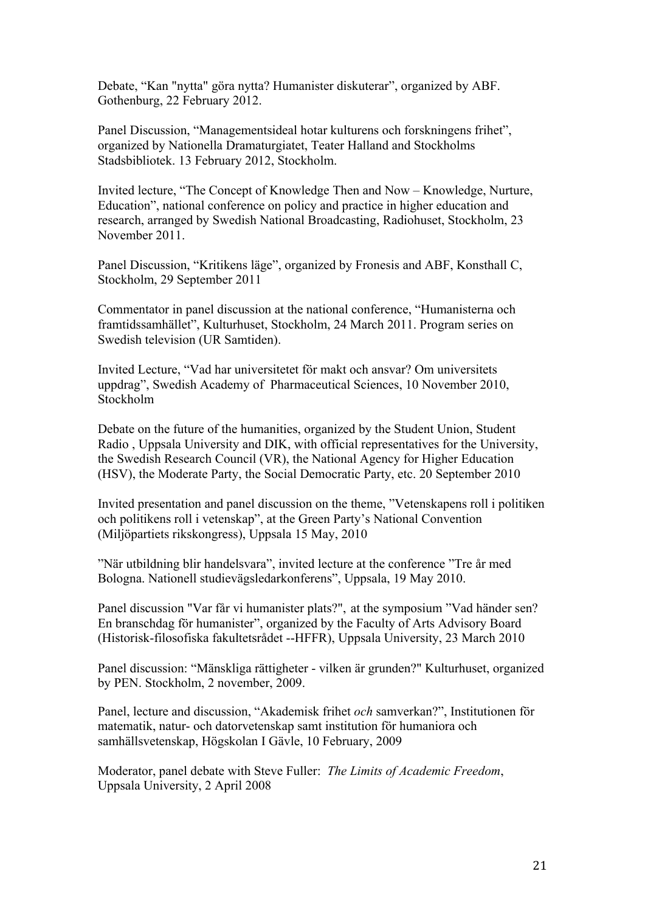Debate, "Kan "nytta" göra nytta? Humanister diskuterar", organized by ABF. Gothenburg, 22 February 2012.

Panel Discussion, "Managementsideal hotar kulturens och forskningens frihet", organized by Nationella Dramaturgiatet, Teater Halland and Stockholms Stadsbibliotek. 13 February 2012, Stockholm.

Invited lecture, "The Concept of Knowledge Then and Now – Knowledge, Nurture, Education", national conference on policy and practice in higher education and research, arranged by Swedish National Broadcasting, Radiohuset, Stockholm, 23 November 2011.

Panel Discussion, "Kritikens läge", organized by Fronesis and ABF, Konsthall C, Stockholm, 29 September 2011

Commentator in panel discussion at the national conference, "Humanisterna och framtidssamhället", Kulturhuset, Stockholm, 24 March 2011. Program series on Swedish television (UR Samtiden).

Invited Lecture, "Vad har universitetet för makt och ansvar? Om universitets uppdrag", Swedish Academy of Pharmaceutical Sciences, 10 November 2010, Stockholm

Debate on the future of the humanities, organized by the Student Union, Student Radio , Uppsala University and DIK, with official representatives for the University, the Swedish Research Council (VR), the National Agency for Higher Education (HSV), the Moderate Party, the Social Democratic Party, etc. 20 September 2010

Invited presentation and panel discussion on the theme, "Vetenskapens roll i politiken och politikens roll i vetenskap", at the Green Party's National Convention (Miljöpartiets rikskongress), Uppsala 15 May, 2010

"När utbildning blir handelsvara", invited lecture at the conference "Tre år med Bologna. Nationell studievägsledarkonferens", Uppsala, 19 May 2010.

Panel discussion "Var får vi humanister plats?", at the symposium "Vad händer sen? En branschdag för humanister", organized by the Faculty of Arts Advisory Board (Historisk-filosofiska fakultetsrådet --HFFR), Uppsala University, 23 March 2010

Panel discussion: "Mänskliga rättigheter - vilken är grunden?" Kulturhuset, organized by PEN. Stockholm, 2 november, 2009.

Panel, lecture and discussion, "Akademisk frihet *och* samverkan?", Institutionen för matematik, natur- och datorvetenskap samt institution för humaniora och samhällsvetenskap, Högskolan I Gävle, 10 February, 2009

Moderator, panel debate with Steve Fuller: *The Limits of Academic Freedom*, Uppsala University, 2 April 2008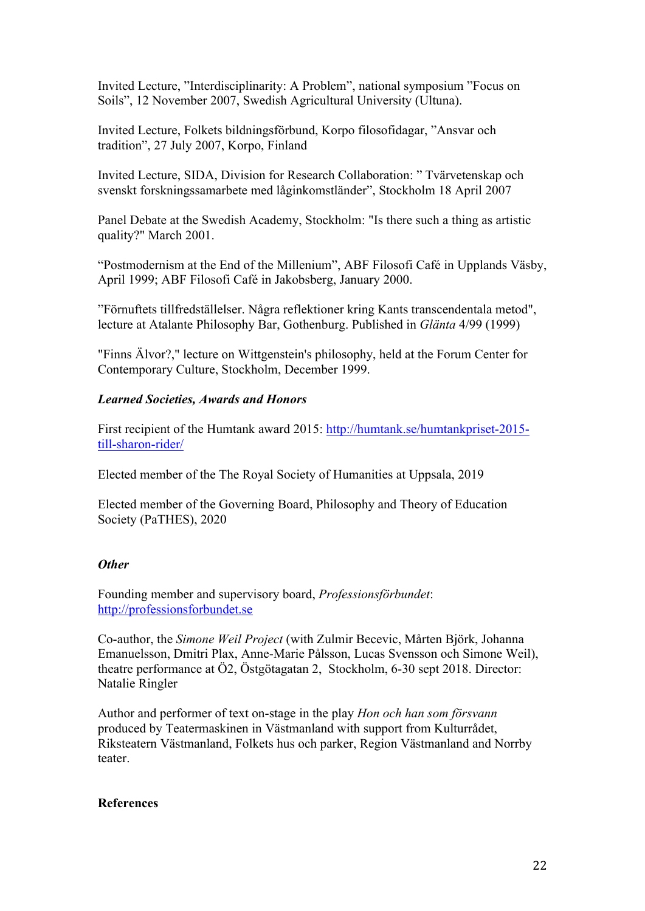Invited Lecture, "Interdisciplinarity: A Problem", national symposium "Focus on Soils", 12 November 2007, Swedish Agricultural University (Ultuna).

Invited Lecture, Folkets bildningsförbund, Korpo filosofidagar, "Ansvar och tradition", 27 July 2007, Korpo, Finland

Invited Lecture, SIDA, Division for Research Collaboration: " Tvärvetenskap och svenskt forskningssamarbete med låginkomstländer", Stockholm 18 April 2007

Panel Debate at the Swedish Academy, Stockholm: "Is there such a thing as artistic quality?" March 2001.

"Postmodernism at the End of the Millenium", ABF Filosofi Café in Upplands Väsby, April 1999; ABF Filosofi Café in Jakobsberg, January 2000.

"Förnuftets tillfredställelser. Några reflektioner kring Kants transcendentala metod", lecture at Atalante Philosophy Bar, Gothenburg. Published in *Glänta* 4/99 (1999)

"Finns Älvor?," lecture on Wittgenstein's philosophy, held at the Forum Center for Contemporary Culture, Stockholm, December 1999.

## *Learned Societies, Awards and Honors*

First recipient of the Humtank award 2015: http://humtank.se/humtankpriset-2015 till-sharon-rider/

Elected member of the The Royal Society of Humanities at Uppsala, 2019

Elected member of the Governing Board, Philosophy and Theory of Education Society (PaTHES), 2020

### *Other*

Founding member and supervisory board, *Professionsförbundet*: http://professionsforbundet.se

Co-author, the *Simone Weil Project* (with Zulmir Becevic, Mårten Björk, Johanna Emanuelsson, Dmitri Plax, Anne-Marie Pålsson, Lucas Svensson och Simone Weil), theatre performance at Ö2, Östgötagatan 2, Stockholm, 6-30 sept 2018. Director: Natalie Ringler

Author and performer of text on-stage in the play *Hon och han som försvann* produced by Teatermaskinen in Västmanland with support from Kulturrådet, Riksteatern Västmanland, Folkets hus och parker, Region Västmanland and Norrby teater.

### **References**